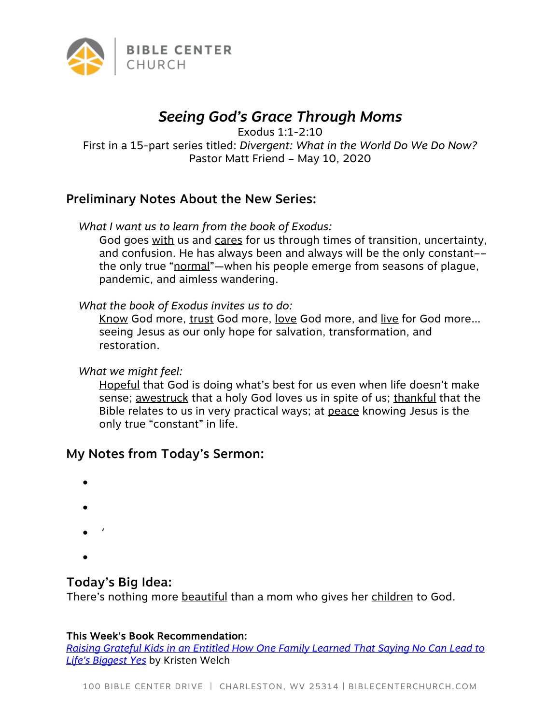

# *Seeing God's Grace Through Moms*

Exodus 1:1-2:10

First in a 15-part series titled: *Divergent: What in the World Do We Do Now?* Pastor Matt Friend – May 10, 2020

## Preliminary Notes About the New Series:

*What I want us to learn from the book of Exodus:*

God goes with us and cares for us through times of transition, uncertainty, and confusion. He has always been and always will be the only constant–– the only true "normal"—when his people emerge from seasons of plague, pandemic, and aimless wandering.

*What the book of Exodus invites us to do:*

Know God more, trust God more, love God more, and live for God more... seeing Jesus as our only hope for salvation, transformation, and restoration.

*What we might feel:*

Hopeful that God is doing what's best for us even when life doesn't make sense; awestruck that a holy God loves us in spite of us; thankful that the Bible relates to us in very practical ways; at peace knowing Jesus is the only true "constant" in life.

## My Notes from Today's Sermon:

- •
- •
- 
- '
- •

## Today's Big Idea:

There's nothing more beautiful than a mom who gives her children to God.

#### This Week's Book Recommendation:

*Raising Grateful Kids in an Entitled How One Family Learned That Saying No Can Lead to Life's Biggest Yes* by Kristen Welch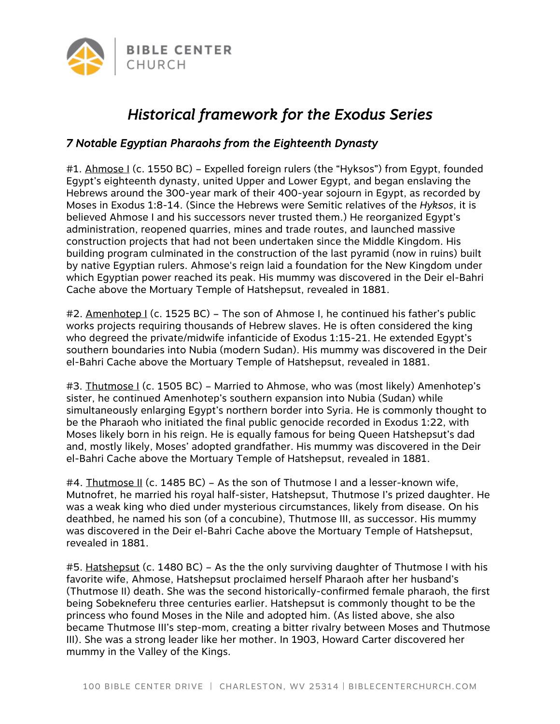

# *Historical framework for the Exodus Series*

### *7 Notable Egyptian Pharaohs from the Eighteenth Dynasty*

#1. Ahmose I (c. 1550 BC) – Expelled foreign rulers (the "Hyksos") from Egypt, founded Egypt's eighteenth dynasty, united Upper and Lower Egypt, and began enslaving the Hebrews around the 300-year mark of their 400-year sojourn in Egypt, as recorded by Moses in Exodus 1:8-14. (Since the Hebrews were Semitic relatives of the *Hyksos*, it is believed Ahmose I and his successors never trusted them.) He reorganized Egypt's administration, reopened quarries, mines and trade routes, and launched massive construction projects that had not been undertaken since the Middle Kingdom. His building program culminated in the construction of the last pyramid (now in ruins) built by native Egyptian rulers. Ahmose's reign laid a foundation for the New Kingdom under which Egyptian power reached its peak. His mummy was discovered in the Deir el-Bahri Cache above the Mortuary Temple of Hatshepsut, revealed in 1881.

#2. Amenhotep I (c. 1525 BC) – The son of Ahmose I, he continued his father's public works projects requiring thousands of Hebrew slaves. He is often considered the king who degreed the private/midwife infanticide of Exodus 1:15-21. He extended Egypt's southern boundaries into Nubia (modern Sudan). His mummy was discovered in the Deir el-Bahri Cache above the Mortuary Temple of Hatshepsut, revealed in 1881.

#3. Thutmose I (c. 1505 BC) – Married to Ahmose, who was (most likely) Amenhotep's sister, he continued Amenhotep's southern expansion into Nubia (Sudan) while simultaneously enlarging Egypt's northern border into Syria. He is commonly thought to be the Pharaoh who initiated the final public genocide recorded in Exodus 1:22, with Moses likely born in his reign. He is equally famous for being Queen Hatshepsut's dad and, mostly likely, Moses' adopted grandfather. His mummy was discovered in the Deir el-Bahri Cache above the Mortuary Temple of Hatshepsut, revealed in 1881.

#4. Thutmose II (c. 1485 BC) – As the son of Thutmose I and a lesser-known wife, Mutnofret, he married his royal half-sister, Hatshepsut, Thutmose I's prized daughter. He was a weak king who died under mysterious circumstances, likely from disease. On his deathbed, he named his son (of a concubine), Thutmose III, as successor. His mummy was discovered in the Deir el-Bahri Cache above the Mortuary Temple of Hatshepsut, revealed in 1881.

#5. Hatshepsut (c. 1480 BC) – As the the only surviving daughter of Thutmose I with his favorite wife, Ahmose, Hatshepsut proclaimed herself Pharaoh after her husband's (Thutmose II) death. She was the second historically-confirmed female pharaoh, the first being Sobekneferu three centuries earlier. Hatshepsut is commonly thought to be the princess who found Moses in the Nile and adopted him. (As listed above, she also became Thutmose III's step-mom, creating a bitter rivalry between Moses and Thutmose III). She was a strong leader like her mother. In 1903, Howard Carter discovered her mummy in the Valley of the Kings.